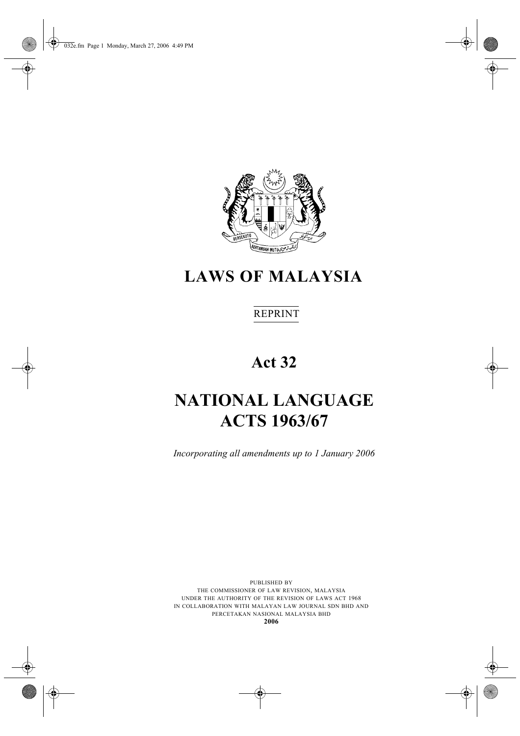032e.fm Page 1 Monday, March 27, 2006 4:49 PM



# **LAWS OF MALAYSIA**

REPRINT

# **Act 32**

# **NATIONAL LANGUAGE ACTS 1963/67**

*Incorporating all amendments up to 1 January 2006*

PUBLISHED BY THE COMMISSIONER OF LAW REVISION, MALAYSIA UNDER THE AUTHORITY OF THE REVISION OF LAWS ACT 1968 IN COLLABORATION WITH MALAYAN LAW JOURNAL SDN BHD AND PERCETAKAN NASIONAL MALAYSIA BHD **2006**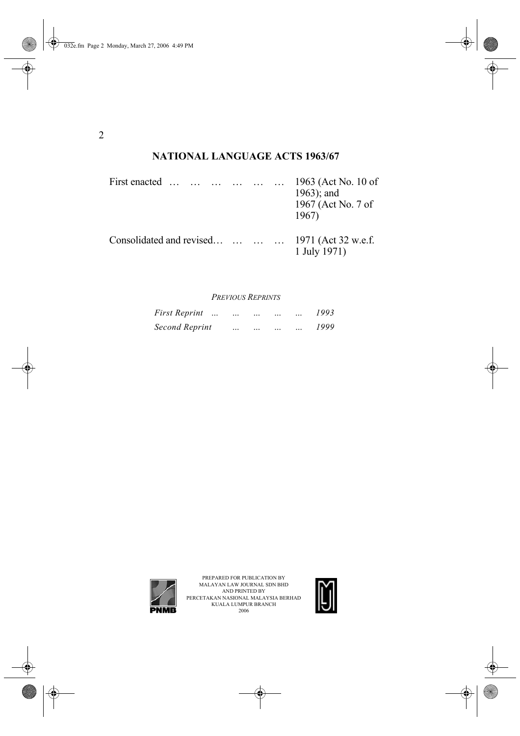2

# **NATIONAL LANGUAGE ACTS 1963/67**

| First enacted                                   |  | 1963 (Act No. 10 of<br>$1963$ ; and<br>1967 (Act No. 7 of<br>1967) |
|-------------------------------------------------|--|--------------------------------------------------------------------|
| Consolidated and revised    1971 (Act 32 w.e.f. |  | 1 July 1971)                                                       |

#### *PREVIOUS REPRINTS*

| <i>First Reprint</i> | $\ddotsc$ | $\ddotsc$ | $\ddotsc$ | 1993 |
|----------------------|-----------|-----------|-----------|------|
| Second Reprint       | $\ddotsc$ | $\ddotsc$ | $\ddotsc$ | 1999 |



PREPARED FOR PUBLICATION BY<br>MALAYAN LAW JOURNAL SDN BHD<br>AND PRINTED BY<br>PERCETAKAN NASIONAL MALAYSIA BERHAD<br>KUALA LUMPUR BRANCH<br>2006 2006

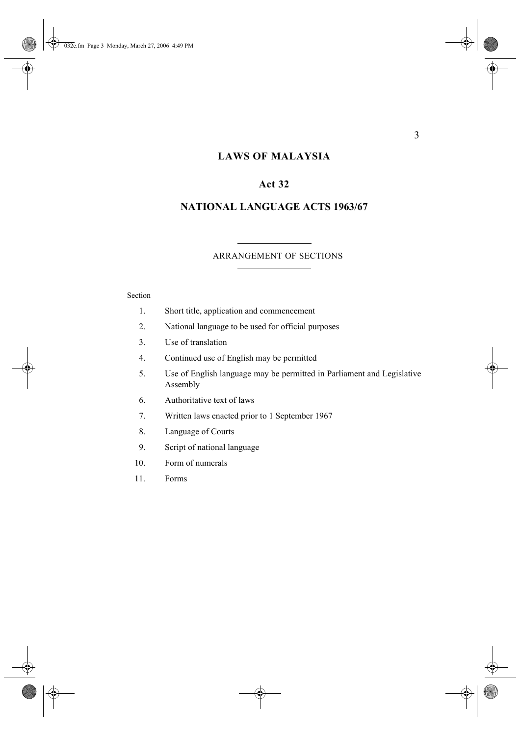#### **LAWS OF MALAYSIA**

## **Act 32**

## **NATIONAL LANGUAGE ACTS 1963/67**

#### ARRANGEMENT OF SECTIONS

#### Section

- 1. Short title, application and commencement
- 2. National language to be used for official purposes
- 3. Use of translation
- 4. Continued use of English may be permitted
- 5. Use of English language may be permitted in Parliament and Legislative Assembly
- 6. Authoritative text of laws
- 7. Written laws enacted prior to 1 September 1967
- 8. Language of Courts
- 9. Script of national language
- 10. Form of numerals
- 11. Forms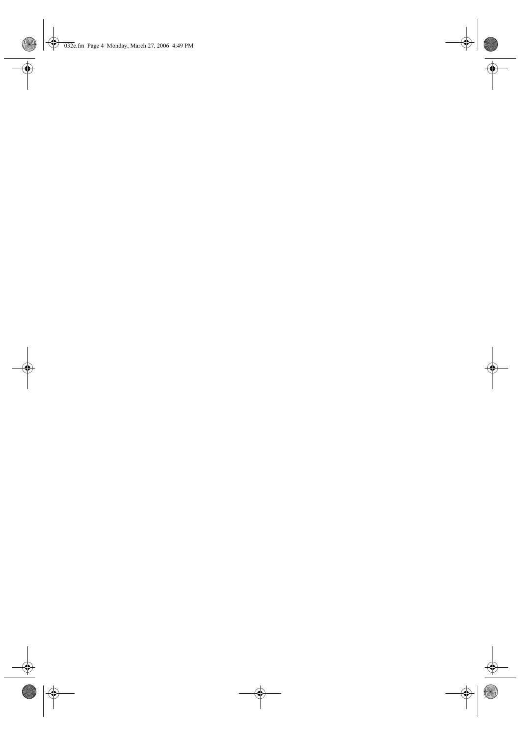$\bigotimes$  032e.fm Page 4 Monday, March 27, 2006 4:49 PM

 $\bigcirc$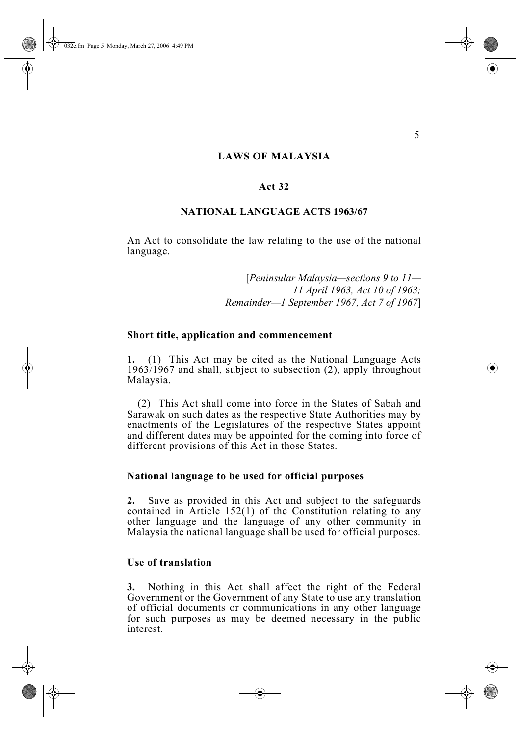#### **LAWS OF MALAYSIA**

#### **Act 32**

#### **NATIONAL LANGUAGE ACTS 1963/67**

An Act to consolidate the law relating to the use of the national language.

> [*Peninsular Malaysia—sections 9 to 11— 11 April 1963, Act 10 of 1963; Remainder—1 September 1967, Act 7 of 1967*]

#### **Short title, application and commencement**

**1.** (1) This Act may be cited as the National Language Acts 1963/1967 and shall, subject to subsection (2), apply throughout Malaysia.

(2) This Act shall come into force in the States of Sabah and Sarawak on such dates as the respective State Authorities may by enactments of the Legislatures of the respective States appoint and different dates may be appointed for the coming into force of different provisions of this Act in those States.

#### **National language to be used for official purposes**

**2.** Save as provided in this Act and subject to the safeguards contained in Article 152(1) of the Constitution relating to any other language and the language of any other community in Malaysia the national language shall be used for official purposes.

#### **Use of translation**

**3.** Nothing in this Act shall affect the right of the Federal Government or the Government of any State to use any translation of official documents or communications in any other language for such purposes as may be deemed necessary in the public interest.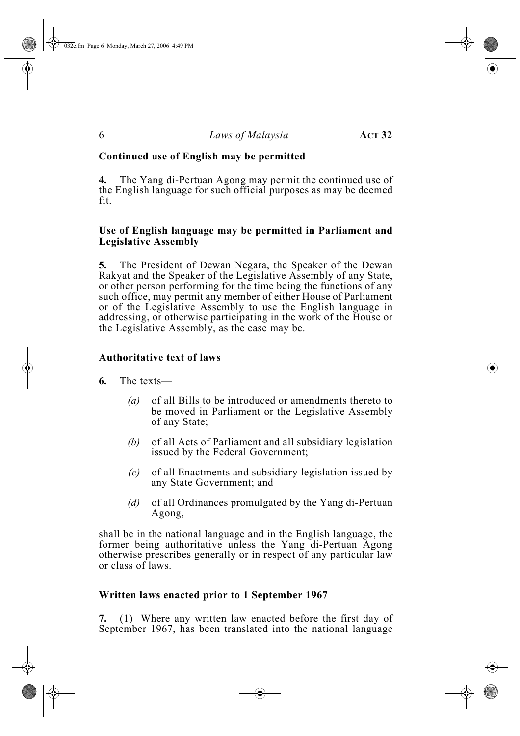#### 6 *Laws of Malaysia* **ACT 32**

#### **Continued use of English may be permitted**

**4.** The Yang di-Pertuan Agong may permit the continued use of the English language for such official purposes as may be deemed fit.

#### **Use of English language may be permitted in Parliament and Legislative Assembly**

**5.** The President of Dewan Negara, the Speaker of the Dewan Rakyat and the Speaker of the Legislative Assembly of any State, or other person performing for the time being the functions of any such office, may permit any member of either House of Parliament or of the Legislative Assembly to use the English language in addressing, or otherwise participating in the work of the House or the Legislative Assembly, as the case may be.

#### **Authoritative text of laws**

- **6.** The texts—
	- *(a)* of all Bills to be introduced or amendments thereto to be moved in Parliament or the Legislative Assembly of any State;
	- *(b)* of all Acts of Parliament and all subsidiary legislation issued by the Federal Government;
	- *(c)* of all Enactments and subsidiary legislation issued by any State Government; and
	- *(d)* of all Ordinances promulgated by the Yang di-Pertuan Agong,

shall be in the national language and in the English language, the former being authoritative unless the Yang di-Pertuan Agong otherwise prescribes generally or in respect of any particular law or class of laws.

#### **Written laws enacted prior to 1 September 1967**

**7.** (1) Where any written law enacted before the first day of September 1967, has been translated into the national language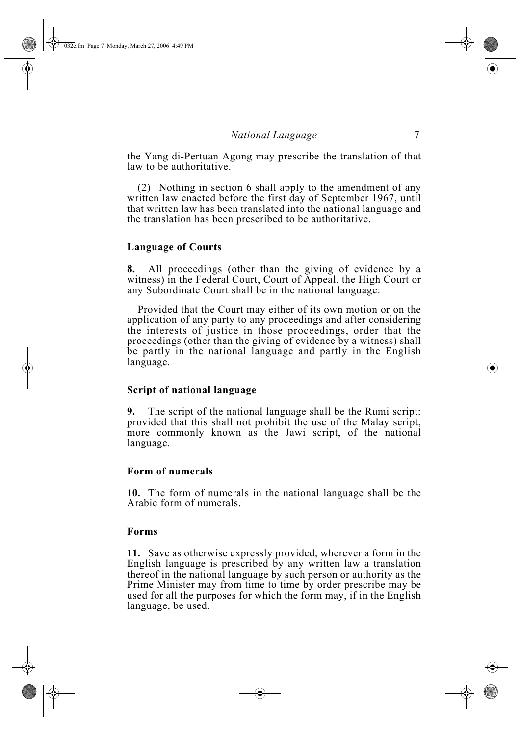#### *National Language* 7

the Yang di-Pertuan Agong may prescribe the translation of that law to be authoritative.

(2) Nothing in section 6 shall apply to the amendment of any written law enacted before the first day of September 1967, until that written law has been translated into the national language and the translation has been prescribed to be authoritative.

#### **Language of Courts**

**8.** All proceedings (other than the giving of evidence by a witness) in the Federal Court, Court of Appeal, the High Court or any Subordinate Court shall be in the national language:

Provided that the Court may either of its own motion or on the application of any party to any proceedings and after considering the interests of justice in those proceedings, order that the proceedings (other than the giving of evidence by a witness) shall be partly in the national language and partly in the English language.

#### **Script of national language**

**9.** The script of the national language shall be the Rumi script: provided that this shall not prohibit the use of the Malay script, more commonly known as the Jawi script, of the national language.

#### **Form of numerals**

**10.** The form of numerals in the national language shall be the Arabic form of numerals.

#### **Forms**

**11.** Save as otherwise expressly provided, wherever a form in the English language is prescribed by any written law a translation thereof in the national language by such person or authority as the Prime Minister may from time to time by order prescribe may be used for all the purposes for which the form may, if in the English language, be used.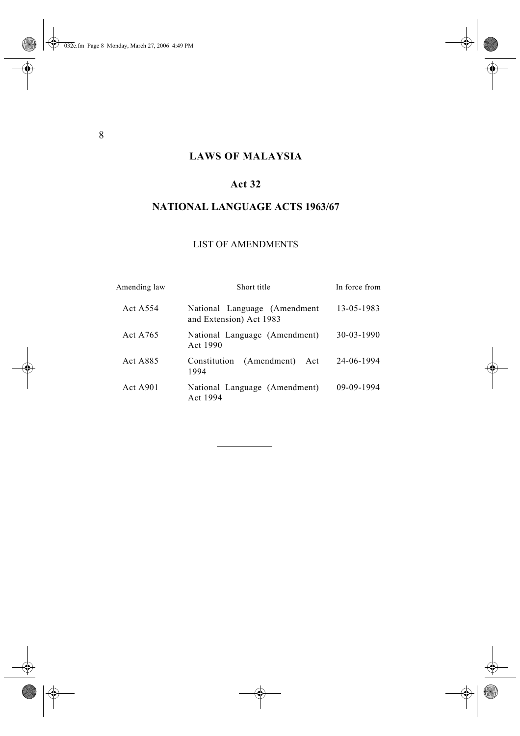8

## **LAWS OF MALAYSIA**

 $\overline{\bullet}$ 

# **Act 32**

# **NATIONAL LANGUAGE ACTS 1963/67**

### LIST OF AMENDMENTS

| Amending law    | Short title                                             | In force from |  |
|-----------------|---------------------------------------------------------|---------------|--|
| Act A554        | National Language (Amendment<br>and Extension) Act 1983 | 13-05-1983    |  |
| Act A765        | National Language (Amendment)<br>Act 1990               | 30-03-1990    |  |
| <b>Act A885</b> | (Amendment)<br>Constitution<br>Act<br>1994              | 24-06-1994    |  |
| Act A901        | National Language (Amendment)<br>Act 1994               | 09-09-1994    |  |